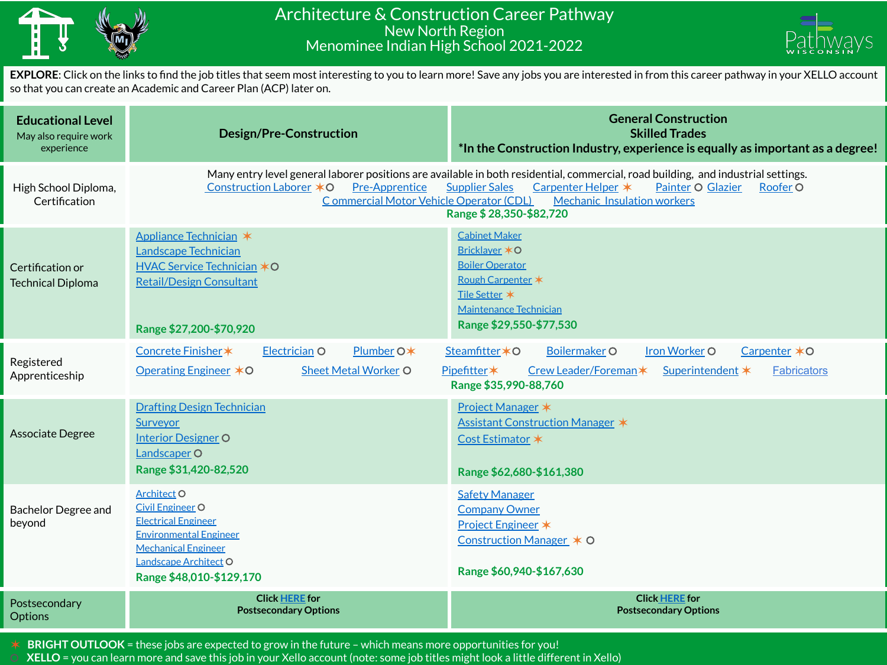

## Architecture & Construction Career Pathway New North Region Menominee Indian High School 2021-2022



**EXPLORE**: Click on the links to find the job titles that seem most interesting to you to learn more! Save any jobs you are interested in from this career pathway in your XELLO account so that you can create an Academic and Career Plan (ACP) later on.

| <b>Educational Level</b><br>May also require work<br>experience | <b>Design/Pre-Construction</b>                                                                                                                                                                                                                                                                                                                                                    | <b>General Construction</b><br><b>Skilled Trades</b><br>*In the Construction Industry, experience is equally as important as a degree!                                                    |  |
|-----------------------------------------------------------------|-----------------------------------------------------------------------------------------------------------------------------------------------------------------------------------------------------------------------------------------------------------------------------------------------------------------------------------------------------------------------------------|-------------------------------------------------------------------------------------------------------------------------------------------------------------------------------------------|--|
| High School Diploma,<br>Certification                           | Many entry level general laborer positions are available in both residential, commercial, road building, and industrial settings.<br>Construction Laborer *O<br><b>Pre-Apprentice</b><br>Carpenter Helper *<br><b>Supplier Sales</b><br>Painter O Glazier<br>Roofer O<br>Commercial Motor Vehicle Operator (CDL)<br><b>Mechanic Insulation workers</b><br>Range \$28,350-\$82,720 |                                                                                                                                                                                           |  |
| Certification or<br><b>Technical Diploma</b>                    | Appliance Technician *<br>Landscape Technician<br>HVAC Service Technician *O<br><b>Retail/Design Consultant</b><br>Range \$27,200-\$70,920                                                                                                                                                                                                                                        | <b>Cabinet Maker</b><br>Bricklayer *O<br><b>Boiler Operator</b><br>Rough Carpenter *<br>Tile Setter *<br><b>Maintenance Technician</b><br>Range \$29,550-\$77,530                         |  |
| Registered<br>Apprenticeship                                    | Electrician O<br>Plumber O*<br>Concrete Finisher *<br><b>Operating Engineer ∗O</b><br><b>Sheet Metal Worker O</b>                                                                                                                                                                                                                                                                 | <b>Iron Worker O</b><br>Carpenter *O<br>Steamfitter * O<br><b>Boilermaker O</b><br>Pipefitter*<br>Crew Leader/Foreman*<br>Superintendent *<br><b>Fabricators</b><br>Range \$35,990-88,760 |  |
| Associate Degree                                                | <b>Drafting Design Technician</b><br>Surveyor<br><b>Interior Designer O</b><br>Landscaper <sub>O</sub><br>Range \$31,420-82,520                                                                                                                                                                                                                                                   | Project Manager *<br>Assistant Construction Manager *<br>Cost Estimator *<br>Range \$62,680-\$161,380                                                                                     |  |
| <b>Bachelor Degree and</b><br>beyond                            | Architect <sub>O</sub><br><b>Civil Engineer O</b><br><b>Electrical Engineer</b><br><b>Environmental Engineer</b><br><b>Mechanical Engineer</b><br>Landscape Architect O<br>Range \$48,010-\$129,170                                                                                                                                                                               | <b>Safety Manager</b><br><b>Company Owner</b><br>Project Engineer *<br>Construction Manager $*$ O<br>Range \$60,940-\$167,630                                                             |  |
| Postsecondary<br><b>Options</b>                                 | <b>Click HERE for</b><br><b>Postsecondary Options</b>                                                                                                                                                                                                                                                                                                                             | <b>Click HERE for</b><br><b>Postsecondary Options</b>                                                                                                                                     |  |

✶ **BRIGHT OUTLOOK** = these jobs are expected to grow in the future – which means more opportunities for you!

⚪ **XELLO** = you can learn more and save this job in your Xello account (note: some job titles might look a little different in Xello)